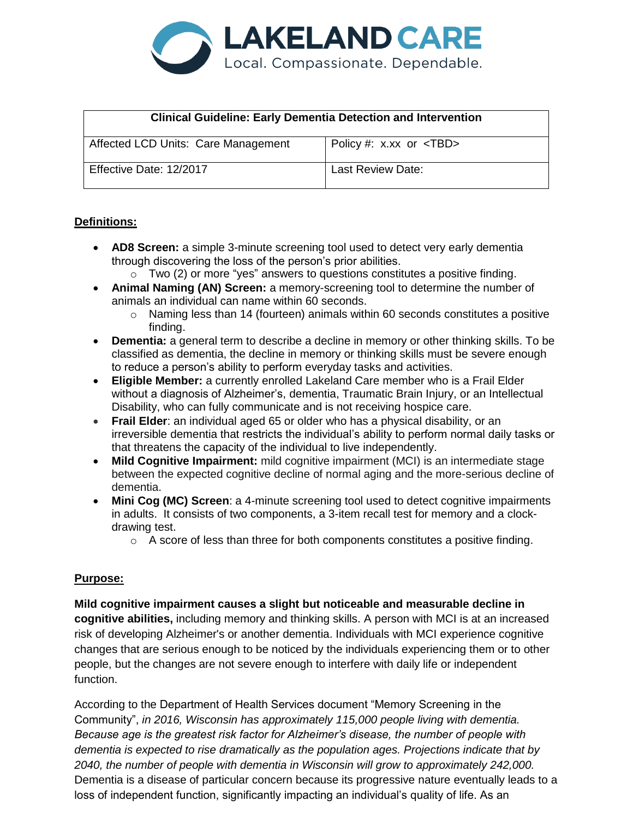

| <b>Clinical Guideline: Early Dementia Detection and Intervention</b> |                                |
|----------------------------------------------------------------------|--------------------------------|
| Affected LCD Units: Care Management                                  | Policy #: $x.xx$ or $\lt$ TBD> |
| Effective Date: 12/2017                                              | <b>Last Review Date:</b>       |

#### **Definitions:**

- **AD8 Screen:** a simple 3-minute screening tool used to detect very early dementia through discovering the loss of the person's prior abilities.
	- $\circ$  Two (2) or more "yes" answers to questions constitutes a positive finding.
- **Animal Naming (AN) Screen:** a memory-screening tool to determine the number of animals an individual can name within 60 seconds.
	- $\circ$  Naming less than 14 (fourteen) animals within 60 seconds constitutes a positive finding.
- **Dementia:** a general term to describe a decline in memory or other thinking skills. To be classified as dementia, the decline in memory or thinking skills must be severe enough to reduce a person's ability to perform everyday tasks and activities.
- **Eligible Member:** a currently enrolled Lakeland Care member who is a Frail Elder without a diagnosis of Alzheimer's, dementia, Traumatic Brain Injury, or an Intellectual Disability, who can fully communicate and is not receiving hospice care.
- **Frail Elder**: an individual aged 65 or older who has a physical disability, or an irreversible dementia that restricts the individual's ability to perform normal daily tasks or that threatens the capacity of the individual to live independently.
- **Mild Cognitive Impairment:** mild cognitive impairment (MCI) is an intermediate stage between the expected cognitive decline of normal aging and the more-serious decline of dementia.
- **Mini Cog (MC) Screen**: a 4-minute screening tool used to detect cognitive impairments in adults. It consists of two components, a 3-item recall test for memory and a clockdrawing test.
	- o A score of less than three for both components constitutes a positive finding.

#### **Purpose:**

**Mild cognitive impairment causes a slight but noticeable and measurable decline in cognitive abilities,** including memory and thinking skills. A person with MCI is at an increased risk of developing Alzheimer's or another dementia. Individuals with MCI experience cognitive changes that are serious enough to be noticed by the individuals experiencing them or to other people, but the changes are not severe enough to interfere with daily life or independent function.

According to the Department of Health Services document "Memory Screening in the Community", *in 2016, Wisconsin has approximately 115,000 people living with dementia. Because age is the greatest risk factor for Alzheimer's disease, the number of people with dementia is expected to rise dramatically as the population ages. Projections indicate that by 2040, the number of people with dementia in Wisconsin will grow to approximately 242,000.*  Dementia is a disease of particular concern because its progressive nature eventually leads to a loss of independent function, significantly impacting an individual's quality of life. As an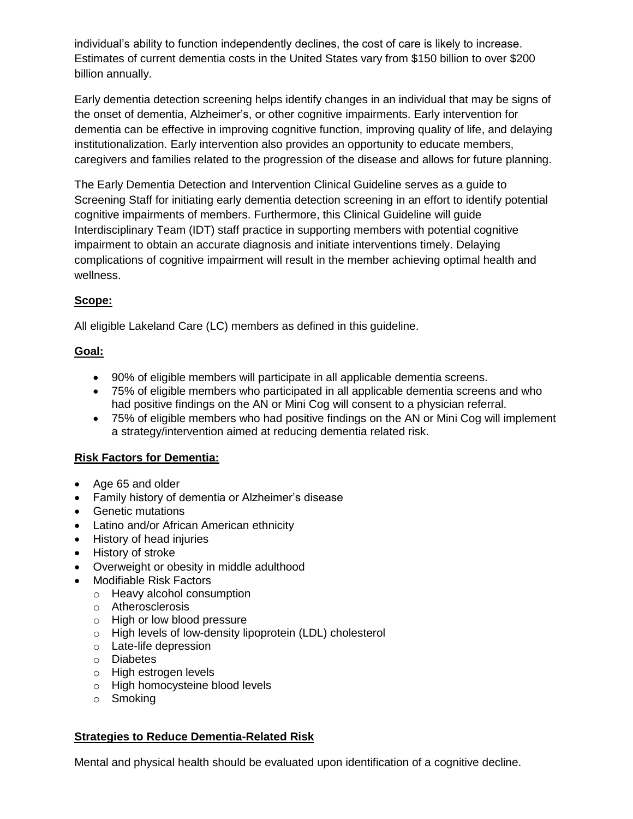individual's ability to function independently declines, the cost of care is likely to increase. Estimates of current dementia costs in the United States vary from \$150 billion to over \$200 billion annually.

Early dementia detection screening helps identify changes in an individual that may be signs of the onset of dementia, Alzheimer's, or other cognitive impairments. Early intervention for dementia can be effective in improving cognitive function, improving quality of life, and delaying institutionalization. Early intervention also provides an opportunity to educate members, caregivers and families related to the progression of the disease and allows for future planning.

The Early Dementia Detection and Intervention Clinical Guideline serves as a guide to Screening Staff for initiating early dementia detection screening in an effort to identify potential cognitive impairments of members. Furthermore, this Clinical Guideline will guide Interdisciplinary Team (IDT) staff practice in supporting members with potential cognitive impairment to obtain an accurate diagnosis and initiate interventions timely. Delaying complications of cognitive impairment will result in the member achieving optimal health and wellness.

# **Scope:**

All eligible Lakeland Care (LC) members as defined in this guideline.

## **Goal:**

- 90% of eligible members will participate in all applicable dementia screens.
- 75% of eligible members who participated in all applicable dementia screens and who had positive findings on the AN or Mini Cog will consent to a physician referral.
- 75% of eligible members who had positive findings on the AN or Mini Cog will implement a strategy/intervention aimed at reducing dementia related risk.

## **Risk Factors for Dementia:**

- Age 65 and older
- Family history of dementia or Alzheimer's disease
- Genetic mutations
- Latino and/or African American ethnicity
- History of head injuries
- History of stroke
- Overweight or obesity in middle adulthood
- Modifiable Risk Factors
	- o Heavy alcohol consumption
	- o Atherosclerosis
	- o High or low blood pressure
	- o High levels of low-density lipoprotein (LDL) cholesterol
	- o Late-life depression
	- o Diabetes
	- o High estrogen levels
	- o High homocysteine blood levels
	- o Smoking

## **Strategies to Reduce Dementia-Related Risk**

Mental and physical health should be evaluated upon identification of a cognitive decline.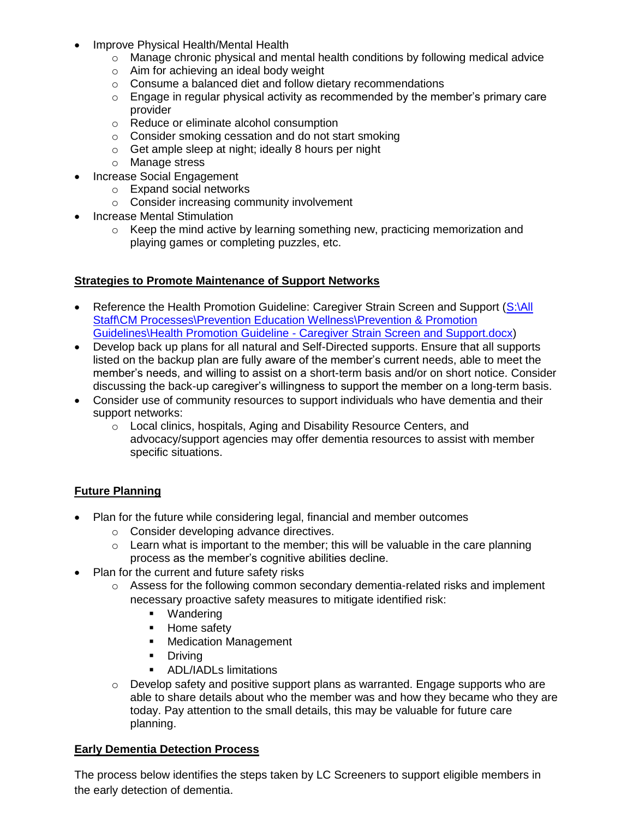- Improve Physical Health/Mental Health
	- o Manage chronic physical and mental health conditions by following medical advice
	- o Aim for achieving an ideal body weight
	- o Consume a balanced diet and follow dietary recommendations
	- o Engage in regular physical activity as recommended by the member's primary care provider
	- o Reduce or eliminate alcohol consumption
	- o Consider smoking cessation and do not start smoking
	- o Get ample sleep at night; ideally 8 hours per night
	- o Manage stress
- Increase Social Engagement
	- o Expand social networks
	- o Consider increasing community involvement
- Increase Mental Stimulation
	- $\circ$  Keep the mind active by learning something new, practicing memorization and playing games or completing puzzles, etc.

#### **Strategies to Promote Maintenance of Support Networks**

- Reference the Health Promotion Guideline: Caregiver Strain Screen and Support (S:\All [Staff\CM Processes\Prevention Education Wellness\Prevention & Promotion](file://///lcdfnp02.lakelandcareinc.com/Groups/All%20Staff/CM%20Processes/Prevention%20Education%20Wellness/Prevention%20&%20Promotion%20Guidelines/Health%20Promotion%20Guideline%20-%20Caregiver%20Strain%20Screen%20and%20Support.docx)  Guidelines\Health Promotion Guideline - [Caregiver Strain Screen and Support.docx\)](file://///lcdfnp02.lakelandcareinc.com/Groups/All%20Staff/CM%20Processes/Prevention%20Education%20Wellness/Prevention%20&%20Promotion%20Guidelines/Health%20Promotion%20Guideline%20-%20Caregiver%20Strain%20Screen%20and%20Support.docx)
- Develop back up plans for all natural and Self-Directed supports. Ensure that all supports listed on the backup plan are fully aware of the member's current needs, able to meet the member's needs, and willing to assist on a short-term basis and/or on short notice. Consider discussing the back-up caregiver's willingness to support the member on a long-term basis.
- Consider use of community resources to support individuals who have dementia and their support networks:
	- o Local clinics, hospitals, Aging and Disability Resource Centers, and advocacy/support agencies may offer dementia resources to assist with member specific situations.

#### **Future Planning**

- Plan for the future while considering legal, financial and member outcomes
	- o Consider developing advance directives.
	- $\circ$  Learn what is important to the member; this will be valuable in the care planning process as the member's cognitive abilities decline.
- Plan for the current and future safety risks
	- o Assess for the following common secondary dementia-related risks and implement necessary proactive safety measures to mitigate identified risk:
		- **•** Wandering
		- Home safety
		- **Medication Management**
		- **-** Driving
		- **ADL/IADLs limitations**
	- $\circ$  Develop safety and positive support plans as warranted. Engage supports who are able to share details about who the member was and how they became who they are today. Pay attention to the small details, this may be valuable for future care planning.

#### **Early Dementia Detection Process**

The process below identifies the steps taken by LC Screeners to support eligible members in the early detection of dementia.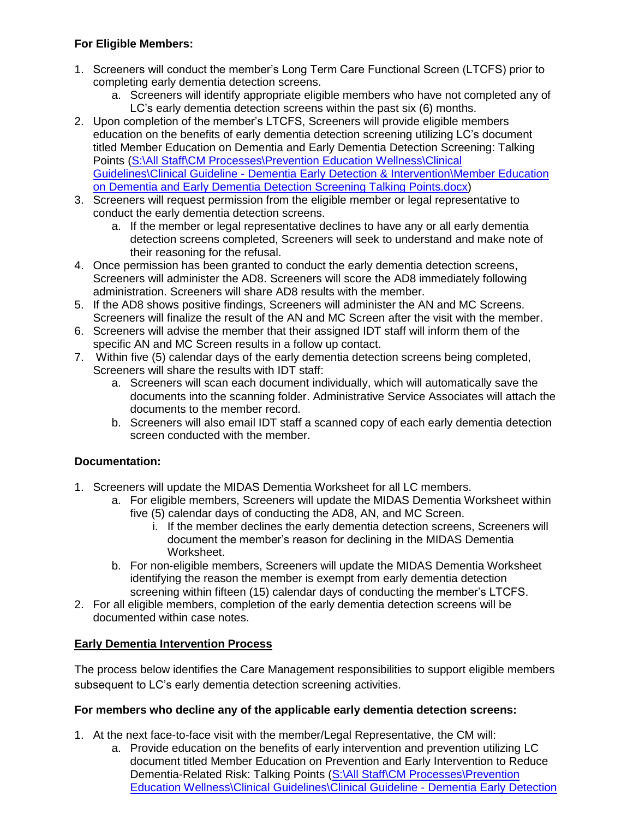#### **For Eligible Members:**

- 1. Screeners will conduct the member's Long Term Care Functional Screen (LTCFS) prior to completing early dementia detection screens.
	- a. Screeners will identify appropriate eligible members who have not completed any of LC's early dementia detection screens within the past six (6) months.
- 2. Upon completion of the member's LTCFS, Screeners will provide eligible members education on the benefits of early dementia detection screening utilizing LC's document titled Member Education on Dementia and Early Dementia Detection Screening: Talking Points [\(S:\All Staff\CM Processes\Prevention Education Wellness\Clinical](file://///lcdfnp02.lakelandcareinc.com/Groups/All%20Staff/CM%20Processes/Prevention%20Education%20Wellness/Clinical%20Guidelines/Clinical%20Guideline%20-%20Dementia%20Early%20Detection%20&%20Intervention/Member%20Education%20on%20Dementia%20and%20Early%20Dementia%20Detection%20Screening%20Talking%20Points.docx)  Guidelines\Clinical Guideline - [Dementia Early Detection & Intervention\Member Education](file://///lcdfnp02.lakelandcareinc.com/Groups/All%20Staff/CM%20Processes/Prevention%20Education%20Wellness/Clinical%20Guidelines/Clinical%20Guideline%20-%20Dementia%20Early%20Detection%20&%20Intervention/Member%20Education%20on%20Dementia%20and%20Early%20Dementia%20Detection%20Screening%20Talking%20Points.docx)  [on Dementia and Early Dementia Detection Screening Talking Points.docx\)](file://///lcdfnp02.lakelandcareinc.com/Groups/All%20Staff/CM%20Processes/Prevention%20Education%20Wellness/Clinical%20Guidelines/Clinical%20Guideline%20-%20Dementia%20Early%20Detection%20&%20Intervention/Member%20Education%20on%20Dementia%20and%20Early%20Dementia%20Detection%20Screening%20Talking%20Points.docx)
- 3. Screeners will request permission from the eligible member or legal representative to conduct the early dementia detection screens.
	- a. If the member or legal representative declines to have any or all early dementia detection screens completed, Screeners will seek to understand and make note of their reasoning for the refusal.
- 4. Once permission has been granted to conduct the early dementia detection screens, Screeners will administer the AD8. Screeners will score the AD8 immediately following administration. Screeners will share AD8 results with the member.
- 5. If the AD8 shows positive findings, Screeners will administer the AN and MC Screens. Screeners will finalize the result of the AN and MC Screen after the visit with the member.
- 6. Screeners will advise the member that their assigned IDT staff will inform them of the specific AN and MC Screen results in a follow up contact.
- 7. Within five (5) calendar days of the early dementia detection screens being completed, Screeners will share the results with IDT staff:
	- a. Screeners will scan each document individually, which will automatically save the documents into the scanning folder. Administrative Service Associates will attach the documents to the member record.
	- b. Screeners will also email IDT staff a scanned copy of each early dementia detection screen conducted with the member.

## **Documentation:**

- 1. Screeners will update the MIDAS Dementia Worksheet for all LC members.
	- a. For eligible members, Screeners will update the MIDAS Dementia Worksheet within five (5) calendar days of conducting the AD8, AN, and MC Screen.
		- i. If the member declines the early dementia detection screens, Screeners will document the member's reason for declining in the MIDAS Dementia Worksheet.
	- b. For non-eligible members, Screeners will update the MIDAS Dementia Worksheet identifying the reason the member is exempt from early dementia detection screening within fifteen (15) calendar days of conducting the member's LTCFS.
- 2. For all eligible members, completion of the early dementia detection screens will be documented within case notes.

## **Early Dementia Intervention Process**

The process below identifies the Care Management responsibilities to support eligible members subsequent to LC's early dementia detection screening activities.

## **For members who decline any of the applicable early dementia detection screens:**

- 1. At the next face-to-face visit with the member/Legal Representative, the CM will:
	- a. Provide education on the benefits of early intervention and prevention utilizing LC document titled Member Education on Prevention and Early Intervention to Reduce Dementia-Related Risk: Talking Points [\(S:\All Staff\CM Processes\Prevention](file://///lcdfnp02.lakelandcareinc.com/Groups/All%20Staff/CM%20Processes/Prevention%20Education%20Wellness/Clinical%20Guidelines/Clinical%20Guideline%20-%20Dementia%20Early%20Detection%20&%20Intervention/Member%20Education%20on%20Prevention%20and%20Early%20Intervention%20Talking%20Points.docx)  [Education Wellness\Clinical Guidelines\Clinical Guideline -](file://///lcdfnp02.lakelandcareinc.com/Groups/All%20Staff/CM%20Processes/Prevention%20Education%20Wellness/Clinical%20Guidelines/Clinical%20Guideline%20-%20Dementia%20Early%20Detection%20&%20Intervention/Member%20Education%20on%20Prevention%20and%20Early%20Intervention%20Talking%20Points.docx) Dementia Early Detection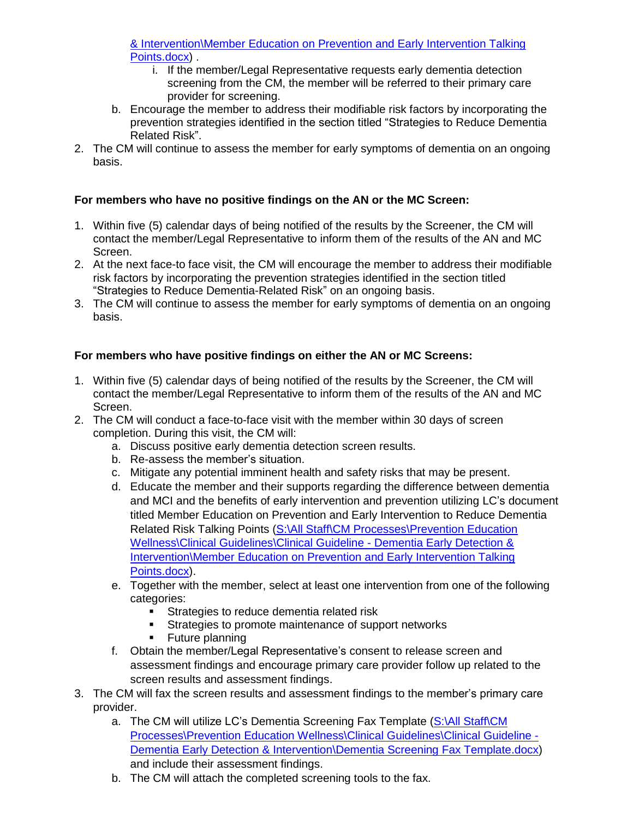[& Intervention\Member Education on Prevention and Early Intervention Talking](file://///lcdfnp02.lakelandcareinc.com/Groups/All%20Staff/CM%20Processes/Prevention%20Education%20Wellness/Clinical%20Guidelines/Clinical%20Guideline%20-%20Dementia%20Early%20Detection%20&%20Intervention/Member%20Education%20on%20Prevention%20and%20Early%20Intervention%20Talking%20Points.docx)  [Points.docx\)](file://///lcdfnp02.lakelandcareinc.com/Groups/All%20Staff/CM%20Processes/Prevention%20Education%20Wellness/Clinical%20Guidelines/Clinical%20Guideline%20-%20Dementia%20Early%20Detection%20&%20Intervention/Member%20Education%20on%20Prevention%20and%20Early%20Intervention%20Talking%20Points.docx) .

- i. If the member/Legal Representative requests early dementia detection screening from the CM, the member will be referred to their primary care provider for screening.
- b. Encourage the member to address their modifiable risk factors by incorporating the prevention strategies identified in the section titled "Strategies to Reduce Dementia Related Risk".
- 2. The CM will continue to assess the member for early symptoms of dementia on an ongoing basis.

# **For members who have no positive findings on the AN or the MC Screen:**

- 1. Within five (5) calendar days of being notified of the results by the Screener, the CM will contact the member/Legal Representative to inform them of the results of the AN and MC Screen.
- 2. At the next face-to face visit, the CM will encourage the member to address their modifiable risk factors by incorporating the prevention strategies identified in the section titled "Strategies to Reduce Dementia-Related Risk" on an ongoing basis.
- 3. The CM will continue to assess the member for early symptoms of dementia on an ongoing basis.

# **For members who have positive findings on either the AN or MC Screens:**

- 1. Within five (5) calendar days of being notified of the results by the Screener, the CM will contact the member/Legal Representative to inform them of the results of the AN and MC Screen.
- 2. The CM will conduct a face-to-face visit with the member within 30 days of screen completion. During this visit, the CM will:
	- a. Discuss positive early dementia detection screen results.
	- b. Re-assess the member's situation.
	- c. Mitigate any potential imminent health and safety risks that may be present.
	- d. Educate the member and their supports regarding the difference between dementia and MCI and the benefits of early intervention and prevention utilizing LC's document titled Member Education on Prevention and Early Intervention to Reduce Dementia Related Risk Talking Points (S:\All Staff\CM Processes\Prevention Education [Wellness\Clinical Guidelines\Clinical Guideline -](file://///lcdfnp02.lakelandcareinc.com/Groups/All%20Staff/CM%20Processes/Prevention%20Education%20Wellness/Clinical%20Guidelines/Clinical%20Guideline%20-%20Dementia%20Early%20Detection%20&%20Intervention/Member%20Education%20on%20Prevention%20and%20Early%20Intervention%20Talking%20Points.docx) Dementia Early Detection & [Intervention\Member Education on Prevention and Early Intervention Talking](file://///lcdfnp02.lakelandcareinc.com/Groups/All%20Staff/CM%20Processes/Prevention%20Education%20Wellness/Clinical%20Guidelines/Clinical%20Guideline%20-%20Dementia%20Early%20Detection%20&%20Intervention/Member%20Education%20on%20Prevention%20and%20Early%20Intervention%20Talking%20Points.docx)  [Points.docx\)](file://///lcdfnp02.lakelandcareinc.com/Groups/All%20Staff/CM%20Processes/Prevention%20Education%20Wellness/Clinical%20Guidelines/Clinical%20Guideline%20-%20Dementia%20Early%20Detection%20&%20Intervention/Member%20Education%20on%20Prevention%20and%20Early%20Intervention%20Talking%20Points.docx).
	- e. Together with the member, select at least one intervention from one of the following categories:
		- **Strategies to reduce dementia related risk**
		- **EXECUTE:** Strategies to promote maintenance of support networks
		- **Future planning**
	- f. Obtain the member/Legal Representative's consent to release screen and assessment findings and encourage primary care provider follow up related to the screen results and assessment findings.
- 3. The CM will fax the screen results and assessment findings to the member's primary care provider.
	- a. The CM will utilize LC's Dementia Screening Fax Template (S:\All Staff\CM [Processes\Prevention Education Wellness\Clinical Guidelines\Clinical Guideline -](file://///lcdfnp02.lakelandcareinc.com/Groups/All%20Staff/CM%20Processes/Prevention%20Education%20Wellness/Clinical%20Guidelines/Clinical%20Guideline%20-%20Dementia%20Early%20Detection%20&%20Intervention/Dementia%20Screening%20Fax%20Template.docx) [Dementia Early Detection & Intervention\Dementia Screening Fax Template.docx\)](file://///lcdfnp02.lakelandcareinc.com/Groups/All%20Staff/CM%20Processes/Prevention%20Education%20Wellness/Clinical%20Guidelines/Clinical%20Guideline%20-%20Dementia%20Early%20Detection%20&%20Intervention/Dementia%20Screening%20Fax%20Template.docx) and include their assessment findings.
	- b. The CM will attach the completed screening tools to the fax.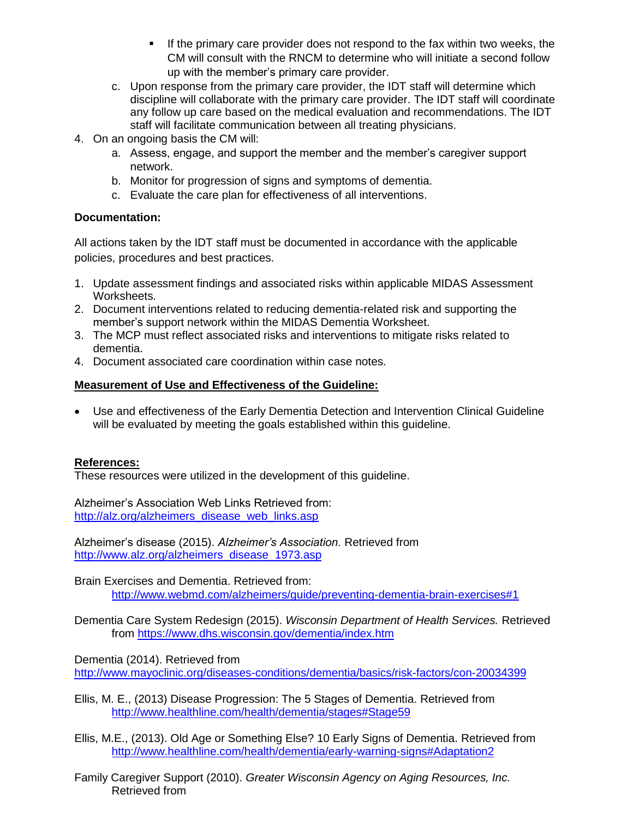- If the primary care provider does not respond to the fax within two weeks, the CM will consult with the RNCM to determine who will initiate a second follow up with the member's primary care provider.
- c. Upon response from the primary care provider, the IDT staff will determine which discipline will collaborate with the primary care provider. The IDT staff will coordinate any follow up care based on the medical evaluation and recommendations. The IDT staff will facilitate communication between all treating physicians.
- 4. On an ongoing basis the CM will:
	- a. Assess, engage, and support the member and the member's caregiver support network.
	- b. Monitor for progression of signs and symptoms of dementia.
	- c. Evaluate the care plan for effectiveness of all interventions.

#### **Documentation:**

All actions taken by the IDT staff must be documented in accordance with the applicable policies, procedures and best practices.

- 1. Update assessment findings and associated risks within applicable MIDAS Assessment Worksheets.
- 2. Document interventions related to reducing dementia-related risk and supporting the member's support network within the MIDAS Dementia Worksheet.
- 3. The MCP must reflect associated risks and interventions to mitigate risks related to dementia.
- 4. Document associated care coordination within case notes.

#### **Measurement of Use and Effectiveness of the Guideline:**

 Use and effectiveness of the Early Dementia Detection and Intervention Clinical Guideline will be evaluated by meeting the goals established within this guideline.

## **References:**

These resources were utilized in the development of this guideline.

Alzheimer's Association Web Links Retrieved from: [http://alz.org/alzheimers\\_disease\\_web\\_links.asp](http://alz.org/alzheimers_disease_web_links.asp)

Alzheimer's disease (2015). *Alzheimer's Association.* Retrieved from [http://www.alz.org/alzheimers\\_disease\\_1973.asp](http://www.alz.org/alzheimers_disease_1973.asp)

Brain Exercises and Dementia. Retrieved from: <http://www.webmd.com/alzheimers/guide/preventing-dementia-brain-exercises#1>

Dementia Care System Redesign (2015). *Wisconsin Department of Health Services.* Retrieved from<https://www.dhs.wisconsin.gov/dementia/index.htm>

Dementia (2014). Retrieved from

<http://www.mayoclinic.org/diseases-conditions/dementia/basics/risk-factors/con-20034399>

Ellis, M. E., (2013) Disease Progression: The 5 Stages of Dementia. Retrieved from <http://www.healthline.com/health/dementia/stages#Stage59>

Ellis, M.E., (2013). Old Age or Something Else? 10 Early Signs of Dementia. Retrieved from <http://www.healthline.com/health/dementia/early-warning-signs#Adaptation2>

Family Caregiver Support (2010). *Greater Wisconsin Agency on Aging Resources, Inc.*  Retrieved from